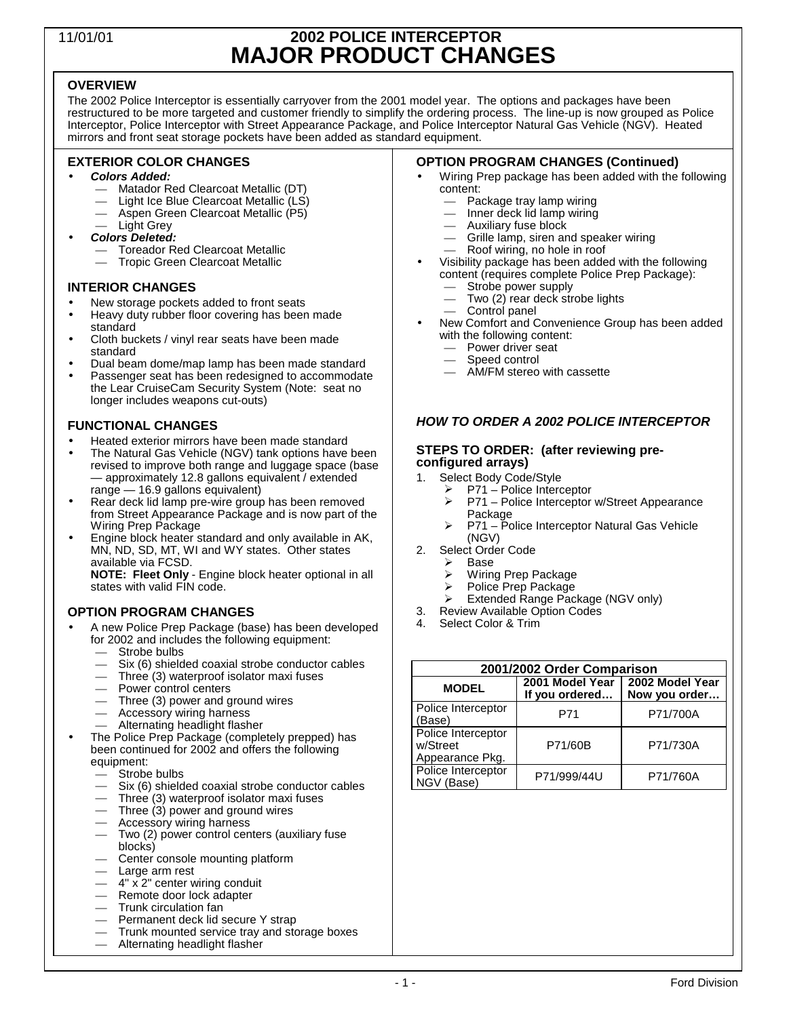# 11/01/01 **2002 POLICE INTERCEPTOR MAJOR PRODUCT CHANGES**

# **OVERVIEW**

The 2002 Police Interceptor is essentially carryover from the 2001 model year. The options and packages have been restructured to be more targeted and customer friendly to simplify the ordering process. The line-up is now grouped as Police Interceptor, Police Interceptor with Street Appearance Package, and Police Interceptor Natural Gas Vehicle (NGV). Heated mirrors and front seat storage pockets have been added as standard equipment.

# **EXTERIOR COLOR CHANGES**

- *Colors Added:*
	- Matador Red Clearcoat Metallic (DT)
	- Light Ice Blue Clearcoat Metallic (LS)
	- Aspen Green Clearcoat Metallic (P5)
	- Light Grey
- *Colors Deleted:*
	- Toreador Red Clearcoat Metallic — Tropic Green Clearcoat Metallic

### **INTERIOR CHANGES**

- New storage pockets added to front seats
- Heavy duty rubber floor covering has been made standard
- Cloth buckets / vinyl rear seats have been made standard
- Dual beam dome/map lamp has been made standard
- Passenger seat has been redesigned to accommodate the Lear CruiseCam Security System (Note: seat no longer includes weapons cut-outs)

# **FUNCTIONAL CHANGES**

- Heated exterior mirrors have been made standard
- The Natural Gas Vehicle (NGV) tank options have been revised to improve both range and luggage space (base — approximately 12.8 gallons equivalent / extended range — 16.9 gallons equivalent)
- Rear deck lid lamp pre-wire group has been removed from Street Appearance Package and is now part of the Wiring Prep Package
- Engine block heater standard and only available in AK, MN, ND, SD, MT, WI and WY states. Other states available via FCSD. **NOTE: Fleet Only** - Engine block heater optional in all states with valid FIN code.

# **OPTION PROGRAM CHANGES**

- A new Police Prep Package (base) has been developed for 2002 and includes the following equipment:
	- Strobe bulbs
	- Six (6) shielded coaxial strobe conductor cables
	- $-$  Three (3) waterproof isolator maxi fuses
	- Power control centers
	- Three (3) power and ground wires
	- Accessory wiring harness
	- Alternating headlight flasher
- The Police Prep Package (completely prepped) has been continued for 2002 and offers the following equipment:
	- Strobe bulbs
	- Six (6) shielded coaxial strobe conductor cables
	- $-$  Three (3) waterproof isolator maxi fuses
	- Three (3) power and ground wires
	- Accessory wiring harness — Two (2) power control centers (auxiliary fuse blocks)
	- Center console mounting platform
	- Large arm rest
	- $-4$ " x 2" center wiring conduit
	- Remote door lock adapter
	- Trunk circulation fan
	- Permanent deck lid secure Y strap
	- Trunk mounted service tray and storage boxes
	- Alternating headlight flasher

### **OPTION PROGRAM CHANGES (Continued)**

- Wiring Prep package has been added with the following content:
	- Package tray lamp wiring
	- Inner deck lid lamp wiring
	- Auxiliary fuse block
	- Grille lamp, siren and speaker wiring
	- Roof wiring, no hole in roof
- Visibility package has been added with the following content (requires complete Police Prep Package): Strobe power supply
	- Two (2) rear deck strobe lights
	- Control panel
- New Comfort and Convenience Group has been added with the following content:
	- Power driver seat
	- Speed control
	- AM/FM stereo with cassette

# *HOW TO ORDER A 2002 POLICE INTERCEPTOR*

#### **STEPS TO ORDER: (after reviewing preconfigured arrays)**

- 1. Select Body Code/Style<br>P71 Police Interd
	- > P71 Police Interceptor<br>
	> P71 Police Interceptor
		- P71 Police Interceptor w/Street Appearance Package
	- ▶ P71 Police Interceptor Natural Gas Vehicle (NGV)
- 2. Select Order Code
	- $\geq$  Base<br> $\geq$  Wiring
	- > Wiring Prep Package<br>> Police Prep Package
	- Police Prep Package
- > Extended Range Package (NGV only) 3. Review Available Option Codes
- 4. Select Color & Trim
- 

| 2001/2002 Order Comparison                        |                                   |                                  |  |  |  |
|---------------------------------------------------|-----------------------------------|----------------------------------|--|--|--|
| <b>MODEL</b>                                      | 2001 Model Year<br>If you ordered | 2002 Model Year<br>Now you order |  |  |  |
| Police Interceptor<br>'Base)                      | P71                               | P71/700A                         |  |  |  |
| Police Interceptor<br>w/Street<br>Appearance Pkg. | P71/60B                           | P71/730A                         |  |  |  |
| Police Interceptor<br>NGV (Base)                  | P71/999/44U                       | P71/760A                         |  |  |  |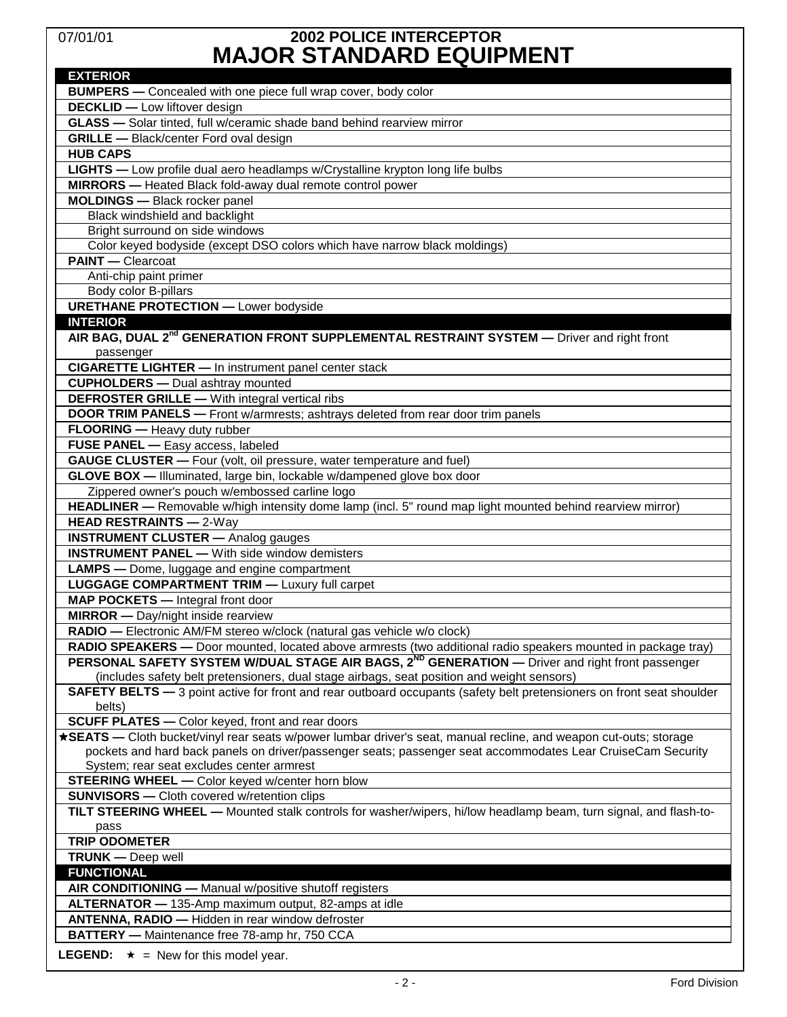# 07/01/01 **2002 POLICE INTERCEPTOR MAJOR STANDARD EQUIPMENT**

| INAVVIN VIANUAND LQVII INLINI<br><b>EXTERIOR</b>                                                                                                                             |
|------------------------------------------------------------------------------------------------------------------------------------------------------------------------------|
| <b>BUMPERS</b> - Concealed with one piece full wrap cover, body color                                                                                                        |
| <b>DECKLID</b> - Low liftover design                                                                                                                                         |
| GLASS - Solar tinted, full w/ceramic shade band behind rearview mirror                                                                                                       |
| <b>GRILLE</b> - Black/center Ford oval design                                                                                                                                |
| <b>HUB CAPS</b>                                                                                                                                                              |
| LIGHTS - Low profile dual aero headlamps w/Crystalline krypton long life bulbs                                                                                               |
| <b>MIRRORS</b> - Heated Black fold-away dual remote control power                                                                                                            |
| <b>MOLDINGS</b> - Black rocker panel                                                                                                                                         |
| Black windshield and backlight                                                                                                                                               |
| Bright surround on side windows                                                                                                                                              |
| Color keyed bodyside (except DSO colors which have narrow black moldings)                                                                                                    |
| <b>PAINT</b> - Clearcoat                                                                                                                                                     |
| Anti-chip paint primer                                                                                                                                                       |
| Body color B-pillars                                                                                                                                                         |
| <b>URETHANE PROTECTION - Lower bodyside</b>                                                                                                                                  |
| <b>INTERIOR</b>                                                                                                                                                              |
| AIR BAG, DUAL 2 <sup>nd</sup> GENERATION FRONT SUPPLEMENTAL RESTRAINT SYSTEM - Driver and right front                                                                        |
| passenger                                                                                                                                                                    |
| <b>CIGARETTE LIGHTER - In instrument panel center stack</b>                                                                                                                  |
| <b>CUPHOLDERS</b> - Dual ashtray mounted                                                                                                                                     |
| <b>DEFROSTER GRILLE</b> - With integral vertical ribs                                                                                                                        |
| <b>DOOR TRIM PANELS</b> - Front w/armrests; ashtrays deleted from rear door trim panels                                                                                      |
| FLOORING - Heavy duty rubber                                                                                                                                                 |
| FUSE PANEL - Easy access, labeled                                                                                                                                            |
| <b>GAUGE CLUSTER</b> - Four (volt, oil pressure, water temperature and fuel)                                                                                                 |
| GLOVE BOX - Illuminated, large bin, lockable w/dampened glove box door                                                                                                       |
| Zippered owner's pouch w/embossed carline logo                                                                                                                               |
| HEADLINER - Removable w/high intensity dome lamp (incl. 5" round map light mounted behind rearview mirror)                                                                   |
| <b>HEAD RESTRAINTS - 2-Way</b>                                                                                                                                               |
| <b>INSTRUMENT CLUSTER</b> - Analog gauges                                                                                                                                    |
| <b>INSTRUMENT PANEL - With side window demisters</b>                                                                                                                         |
| <b>LAMPS</b> — Dome, luggage and engine compartment                                                                                                                          |
| <b>LUGGAGE COMPARTMENT TRIM - Luxury full carpet</b>                                                                                                                         |
| <b>MAP POCKETS</b> - Integral front door                                                                                                                                     |
| <b>MIRROR</b> - Day/night inside rearview                                                                                                                                    |
| RADIO - Electronic AM/FM stereo w/clock (natural gas vehicle w/o clock)                                                                                                      |
| RADIO SPEAKERS - Door mounted, located above armrests (two additional radio speakers mounted in package tray)                                                                |
| PERSONAL SAFETY SYSTEM W/DUAL STAGE AIR BAGS, 2 <sup>ND</sup> GENERATION — Driver and right front passenger                                                                  |
| (includes safety belt pretensioners, dual stage airbags, seat position and weight sensors)                                                                                   |
| SAFETY BELTS - 3 point active for front and rear outboard occupants (safety belt pretensioners on front seat shoulder                                                        |
| belts)                                                                                                                                                                       |
| <b>SCUFF PLATES</b> - Color keyed, front and rear doors<br>*SEATS - Cloth bucket/vinyl rear seats w/power lumbar driver's seat, manual recline, and weapon cut-outs; storage |
| pockets and hard back panels on driver/passenger seats; passenger seat accommodates Lear CruiseCam Security                                                                  |
| System; rear seat excludes center armrest                                                                                                                                    |
| STEERING WHEEL - Color keyed w/center horn blow                                                                                                                              |
| <b>SUNVISORS</b> - Cloth covered w/retention clips                                                                                                                           |
| TILT STEERING WHEEL - Mounted stalk controls for washer/wipers, hi/low headlamp beam, turn signal, and flash-to-                                                             |
| pass                                                                                                                                                                         |
| <b>TRIP ODOMETER</b>                                                                                                                                                         |
| <b>TRUNK</b> - Deep well                                                                                                                                                     |
| <b>FUNCTIONAL</b>                                                                                                                                                            |
| AIR CONDITIONING - Manual w/positive shutoff registers                                                                                                                       |
| ALTERNATOR - 135-Amp maximum output, 82-amps at idle                                                                                                                         |
| ANTENNA, RADIO - Hidden in rear window defroster                                                                                                                             |
| BATTERY - Maintenance free 78-amp hr, 750 CCA                                                                                                                                |
| <b>LEGEND:</b> $\star$ = New for this model year.                                                                                                                            |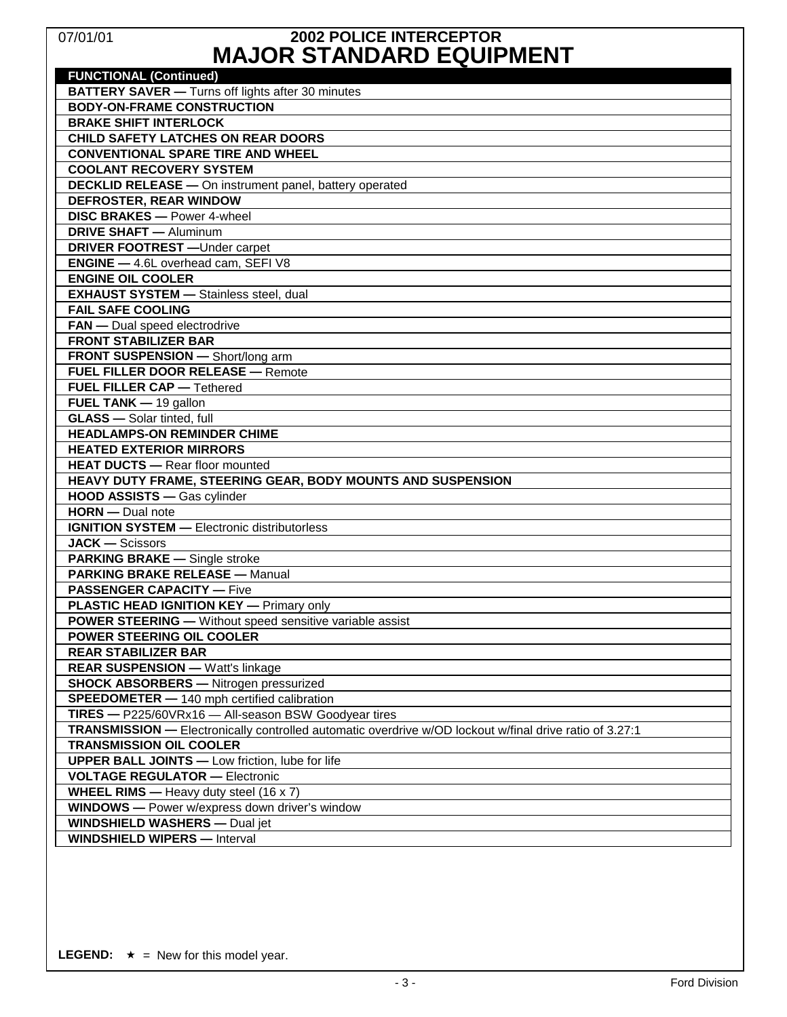# 07/01/01 **2002 POLICE INTERCEPTOR MAJOR STANDARD EQUIPMENT**

| <b>FUNCTIONAL (Continued)</b>                                                                           |
|---------------------------------------------------------------------------------------------------------|
| <b>BATTERY SAVER</b> - Turns off lights after 30 minutes                                                |
| <b>BODY-ON-FRAME CONSTRUCTION</b>                                                                       |
| <b>BRAKE SHIFT INTERLOCK</b>                                                                            |
| <b>CHILD SAFETY LATCHES ON REAR DOORS</b>                                                               |
| <b>CONVENTIONAL SPARE TIRE AND WHEEL</b>                                                                |
| <b>COOLANT RECOVERY SYSTEM</b>                                                                          |
| <b>DECKLID RELEASE - On instrument panel, battery operated</b>                                          |
| <b>DEFROSTER, REAR WINDOW</b>                                                                           |
| <b>DISC BRAKES - Power 4-wheel</b>                                                                      |
| <b>DRIVE SHAFT</b> - Aluminum                                                                           |
| <b>DRIVER FOOTREST</b> - Under carpet                                                                   |
| <b>ENGINE</b> - 4.6L overhead cam, SEFI V8                                                              |
| <b>ENGINE OIL COOLER</b>                                                                                |
| <b>EXHAUST SYSTEM - Stainless steel, dual</b>                                                           |
| <b>FAIL SAFE COOLING</b>                                                                                |
| FAN - Dual speed electrodrive                                                                           |
| <b>FRONT STABILIZER BAR</b>                                                                             |
| FRONT SUSPENSION - Short/long arm                                                                       |
| <b>FUEL FILLER DOOR RELEASE - Remote</b>                                                                |
| <b>FUEL FILLER CAP - Tethered</b>                                                                       |
| <b>FUEL TANK</b> $-$ 19 gallon                                                                          |
| <b>GLASS</b> - Solar tinted, full                                                                       |
| <b>HEADLAMPS-ON REMINDER CHIME</b>                                                                      |
| <b>HEATED EXTERIOR MIRRORS</b>                                                                          |
| <b>HEAT DUCTS - Rear floor mounted</b>                                                                  |
| HEAVY DUTY FRAME, STEERING GEAR, BODY MOUNTS AND SUSPENSION                                             |
| HOOD ASSISTS - Gas cylinder                                                                             |
| HORN - Dual note                                                                                        |
| <b>IGNITION SYSTEM - Electronic distributorless</b>                                                     |
| <b>JACK - Scissors</b>                                                                                  |
| <b>PARKING BRAKE - Single stroke</b>                                                                    |
| <b>PARKING BRAKE RELEASE - Manual</b>                                                                   |
| <b>PASSENGER CAPACITY — Five</b>                                                                        |
| <b>PLASTIC HEAD IGNITION KEY - Primary only</b>                                                         |
| POWER STEERING - Without speed sensitive variable assist                                                |
| POWER STEERING OIL COOLER                                                                               |
| <b>REAR STABILIZER BAR</b>                                                                              |
| <b>REAR SUSPENSION - Watt's linkage</b>                                                                 |
| <b>SHOCK ABSORBERS - Nitrogen pressurized</b>                                                           |
| <b>SPEEDOMETER - 140 mph certified calibration</b>                                                      |
| TIRES - P225/60VRx16 - All-season BSW Goodyear tires                                                    |
| TRANSMISSION - Electronically controlled automatic overdrive w/OD lockout w/final drive ratio of 3.27:1 |
| <b>TRANSMISSION OIL COOLER</b>                                                                          |
| <b>UPPER BALL JOINTS - Low friction, lube for life</b>                                                  |
| <b>VOLTAGE REGULATOR - Electronic</b>                                                                   |
| <b>WHEEL RIMS</b> — Heavy duty steel $(16 \times 7)$                                                    |
| <b>WINDOWS</b> - Power w/express down driver's window                                                   |
| <b>WINDSHIELD WASHERS - Dual jet</b>                                                                    |
| <b>WINDSHIELD WIPERS - Interval</b>                                                                     |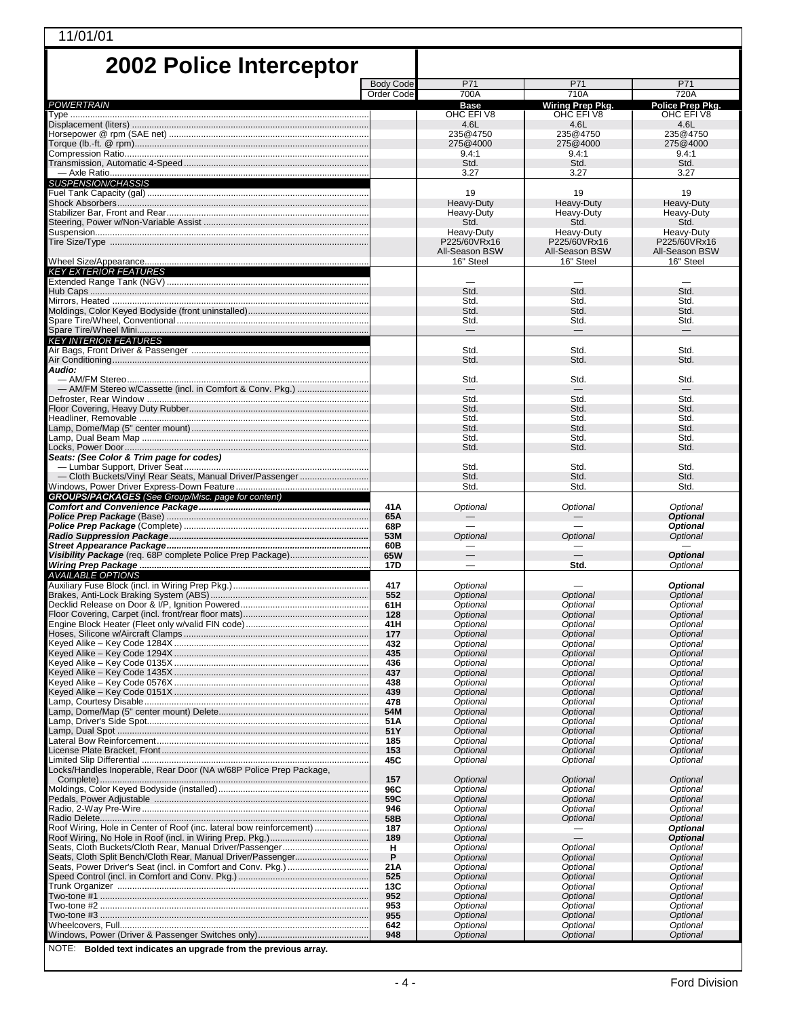| 11/01/01                                                             |                  |                             |                               |                               |  |  |
|----------------------------------------------------------------------|------------------|-----------------------------|-------------------------------|-------------------------------|--|--|
| <b>2002 Police Interceptor</b>                                       |                  |                             |                               |                               |  |  |
|                                                                      | <b>Body Code</b> | P71                         | P71                           | P71                           |  |  |
|                                                                      | Order Code       | 700A                        | 710A                          | 720A                          |  |  |
| <b>POWERTRAIN</b>                                                    |                  | <b>Base</b><br>OHC EFIV8    | Wiring Prep Pkg.<br>OHC EFIV8 | Police Prep Pkg.<br>OHC EFIV8 |  |  |
| Displacement (liters) …………………………………………………………………………………                |                  | 4.6L                        | 4.6L                          | 4.6L                          |  |  |
|                                                                      |                  | 235@4750                    | 235@4750                      | 235@4750                      |  |  |
|                                                                      |                  | 275@4000<br>9.4:1           | 275@4000<br>9.4:1             | 275@4000<br>9.4:1             |  |  |
|                                                                      |                  | Std.                        | Std.                          | Std.                          |  |  |
|                                                                      |                  | 3.27                        | 3.27                          | 3.27                          |  |  |
| <i>SUSPENSION/CHASSIS</i>                                            |                  | 19                          | 19                            | 19                            |  |  |
|                                                                      |                  | Heavy-Duty                  | Heavy-Duty                    | Heavy-Duty                    |  |  |
|                                                                      |                  | Heavy-Duty<br>Std.          | Heavy-Duty<br>Std.            | Heavy-Duty<br>Std.            |  |  |
|                                                                      |                  | Heavy-Duty                  | Heavy-Duty                    | Heavy-Duty                    |  |  |
| Tire Size/Type ………………………………………………………………………………………                     |                  | P225/60VRx16                | P225/60VRx16                  | P225/60VRx16                  |  |  |
|                                                                      |                  | All-Season BSW<br>16" Steel | All-Season BSW<br>16" Steel   | All-Season BSW<br>16" Steel   |  |  |
| <b>KEY EXTERIOR FEATURES</b>                                         |                  |                             |                               |                               |  |  |
|                                                                      |                  |                             |                               |                               |  |  |
|                                                                      |                  | Std.<br>Std.                | Std.<br>Std.                  | Std.<br>Std.                  |  |  |
|                                                                      |                  | Std.                        | Std.                          | Std.                          |  |  |
|                                                                      |                  | Std.                        | Std.                          | Std.                          |  |  |
| <b>KEY INTERIOR FEATURES</b>                                         |                  |                             |                               |                               |  |  |
|                                                                      |                  | Std.                        | Std.                          | Std.                          |  |  |
| Audio:                                                               |                  | Std.                        | Std.                          | Std.                          |  |  |
|                                                                      |                  | Std.                        | Std.                          | Std.                          |  |  |
|                                                                      |                  | Std.                        | Std.                          | Std.                          |  |  |
|                                                                      |                  | Std.                        | Std.                          | Std.                          |  |  |
|                                                                      |                  | Std.                        | Std.                          | Std.                          |  |  |
|                                                                      |                  | Std.<br>Std.                | Std.<br>Std.                  | Std.<br>Std.                  |  |  |
|                                                                      |                  | Std.                        | Std.                          | Std.                          |  |  |
| Seats: (See Color & Trim page for codes)                             |                  | Std.                        | Std.                          | Std.                          |  |  |
|                                                                      |                  | Std.                        | Std.                          | Std.                          |  |  |
|                                                                      |                  | Std.                        | Std.                          | Std.                          |  |  |
| <b>GROUPS/PACKAGES</b> (See Group/Misc. page for content)            | 41A              | Optional                    | Optional                      | Optional                      |  |  |
|                                                                      | 65A              |                             | $\overline{\phantom{0}}$      | <b>Optional</b>               |  |  |
|                                                                      | 68P<br>53M       | Optional                    | Optional                      | <b>Optional</b>               |  |  |
|                                                                      | 60B              |                             |                               | Optional                      |  |  |
|                                                                      | 65W              | $\overline{\phantom{0}}$    | $\qquad \qquad -$             | <b>Optional</b>               |  |  |
| <b>AVAILABLE OPTIONS</b>                                             | 17D              | $\overline{\phantom{0}}$    | Std.                          | Optional                      |  |  |
|                                                                      | 417              | Optional                    |                               | <b>Optional</b>               |  |  |
|                                                                      | 552              | Optional                    | Optional                      | Optional                      |  |  |
| Decklid Release on Door & I/P, Ignition Powered                      | 61H<br>128       | Optional<br>Optional        | Optional<br>Optional          | Optional<br>Optional          |  |  |
|                                                                      | 41H              | Optional                    | Optional                      | Optional                      |  |  |
|                                                                      | 177<br>432       | Optional<br>Optional        | Optional<br>Optional          | Optional<br>Optional          |  |  |
|                                                                      | 435              | Optional                    | Optional                      | Optional                      |  |  |
|                                                                      | 436              | Optional                    | Optional                      | Optional                      |  |  |
|                                                                      | 437<br>438       | Optional<br>Optional        | Optional<br>Optional          | Optional<br>Optional          |  |  |
|                                                                      | 439              | Optional                    | <b>Optional</b>               | Optional                      |  |  |
|                                                                      | 478<br>54M       | Optional<br>Optional        | Optional<br>Optional          | Optional<br>Optional          |  |  |
|                                                                      | 51A              | Optional                    | Optional                      | Optional                      |  |  |
|                                                                      | 51Y              | Optional                    | Optional                      | Optional                      |  |  |
|                                                                      | 185<br>153       | Optional<br><b>Optional</b> | Optional<br>Optional          | Optional<br>Optional          |  |  |
|                                                                      | 45C              | Optional                    | Optional                      | Optional                      |  |  |
| Locks/Handles Inoperable, Rear Door (NA w/68P Police Prep Package,   | 157              | Optional                    | Optional                      | Optional                      |  |  |
|                                                                      | 96C              | Optional                    | Optional                      | Optional                      |  |  |
|                                                                      | 59C              | Optional                    | Optional                      | Optional                      |  |  |
|                                                                      | 946<br>58B       | Optional<br>Optional        | Optional<br>Optional          | Optional<br>Optional          |  |  |
| Roof Wiring, Hole in Center of Roof (inc. lateral bow reinforcement) | 187              | Optional                    |                               | <b>Optional</b>               |  |  |
| Seats, Cloth Buckets/Cloth Rear, Manual Driver/Passenger             | 189<br>н         | Optional<br>Optional        |                               | <b>Optional</b><br>Optional   |  |  |
| Seats, Cloth Split Bench/Cloth Rear, Manual Driver/Passenger         | P                | Optional                    | Optional<br>Optional          | Optional                      |  |  |
|                                                                      | 21A              | Optional                    | Optional                      | Optional                      |  |  |
|                                                                      | 525<br>13C       | Optional<br>Optional        | Optional<br>Optional          | Optional<br>Optional          |  |  |
|                                                                      | 952              | Optional                    | Optional                      | Optional                      |  |  |
|                                                                      | 953              | Optional                    | Optional                      | Optional                      |  |  |
|                                                                      | 955<br>642       | Optional<br>Optional        | Optional<br>Optional          | Optional<br>Optional          |  |  |
|                                                                      | 948              | Optional                    | Optional                      | Optional                      |  |  |
| $MOTF$ : Rolded text indicates an upgrade from the previous array    |                  |                             |                               |                               |  |  |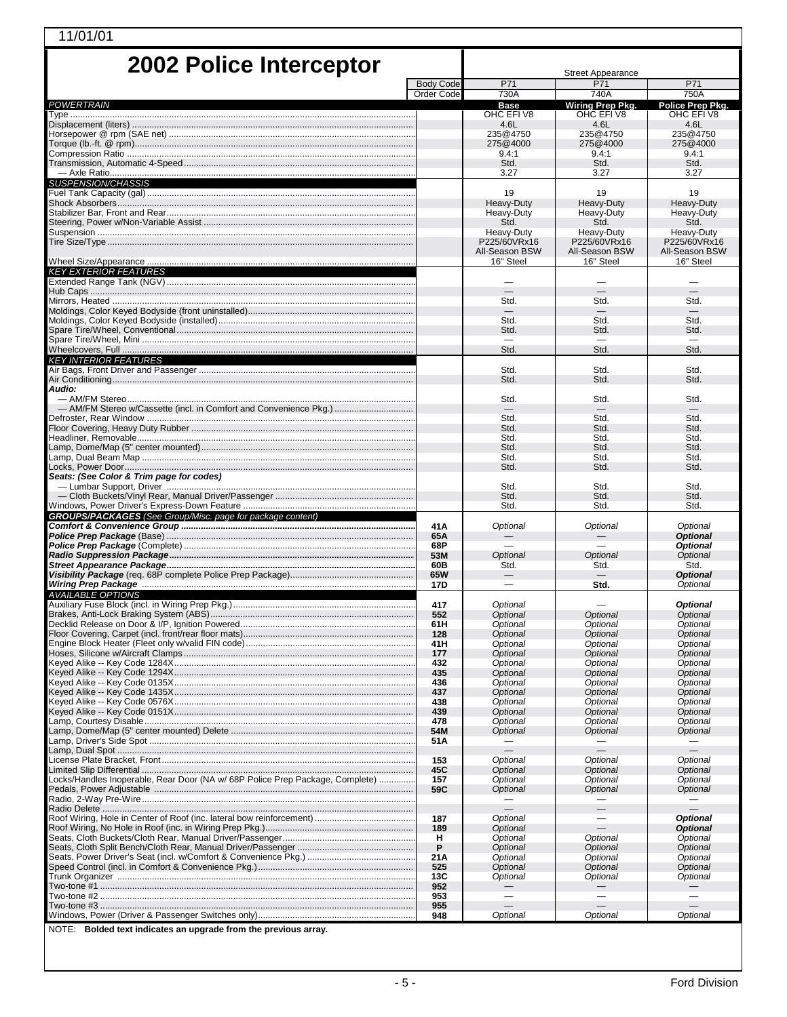| 11/01/01                                                                      |                  |                                |                                                      |                                    |  |
|-------------------------------------------------------------------------------|------------------|--------------------------------|------------------------------------------------------|------------------------------------|--|
|                                                                               |                  |                                |                                                      |                                    |  |
| <b>2002 Police Interceptor</b>                                                |                  | <b>Street Appearance</b>       |                                                      |                                    |  |
|                                                                               | <b>Body Code</b> | P71                            | P71                                                  | P71                                |  |
| POWERTRAIN                                                                    | Order Code       | 730A<br><b>Base</b>            | 740A<br>Wiring Prep Pkg.                             | 750A<br>Police Prep Pkg.           |  |
|                                                                               |                  | OHC EFIV8                      | OHC EFIV8                                            | OHC EFI V8                         |  |
|                                                                               |                  | 4.6L<br>235@4750               | 4.6L<br>235@4750                                     | 4.6L<br>235@4750                   |  |
|                                                                               |                  | 275@4000                       | 275@4000                                             | 275@4000                           |  |
|                                                                               |                  | 9.4:1                          | 9.4:1                                                | 9.4:1                              |  |
|                                                                               |                  | Std.<br>3.27                   | Std.<br>3.27                                         | Std.<br>3.27                       |  |
| <b>SUSPENSION/CHASSIS</b>                                                     |                  |                                |                                                      |                                    |  |
|                                                                               |                  | 19                             | 19                                                   | 19                                 |  |
|                                                                               |                  | Heavy-Duty<br>Heavy-Duty       | Heavy-Duty<br>Heavy-Duty                             | Heavy-Duty<br>Heavy-Duty           |  |
|                                                                               |                  | Std.                           | Std.                                                 | Std.                               |  |
|                                                                               |                  | Heavy-Duty                     | Heavy-Duty                                           | Heavy-Duty                         |  |
|                                                                               |                  | P225/60VRx16<br>All-Season BSW | P225/60VRx16<br>All-Season BSW                       | P225/60VRx16<br>All-Season BSW     |  |
|                                                                               |                  | 16" Steel                      | 16" Steel                                            | 16" Steel                          |  |
| KEY EXTERIOR FEATURES                                                         |                  |                                |                                                      |                                    |  |
|                                                                               |                  |                                |                                                      |                                    |  |
|                                                                               |                  | Std.                           | Std.                                                 | Std.                               |  |
|                                                                               |                  | —<br>Std.                      | $\overline{\phantom{0}}$<br>Std.                     | Std.                               |  |
|                                                                               |                  | Std.                           | Std.                                                 | Std.                               |  |
|                                                                               |                  |                                |                                                      |                                    |  |
|                                                                               |                  | Std.                           | Std.                                                 | Std.                               |  |
| <b>KEY INTERIOR FEATURES</b>                                                  |                  | Std.                           | Std.                                                 | Std.                               |  |
|                                                                               |                  | Std.                           | Std.                                                 | Std.                               |  |
| Audio:                                                                        |                  | Std.                           | Std.                                                 | Std.                               |  |
| — AM/FM Stereo w/Cassette (incl. in Comfort and Convenience Pkg.)             |                  |                                |                                                      |                                    |  |
|                                                                               |                  | Std.                           | Std.                                                 | Std.                               |  |
|                                                                               |                  | Std.<br>Std.                   | Std.<br>Std.                                         | Std.<br>Std.                       |  |
|                                                                               |                  | Std.                           | Std.                                                 | Std.                               |  |
|                                                                               |                  | Std.                           | Std.                                                 | Std.                               |  |
| Seats: (See Color & Trim page for codes)                                      |                  | Std.                           | Std.                                                 | Std.                               |  |
|                                                                               |                  | Std.                           | Std.                                                 | Std.                               |  |
|                                                                               |                  | Std.                           | Std.                                                 | Std.                               |  |
| GROUPS/PACKAGES (See Group/Misc. page for package content)                    |                  | Std.                           | Std.                                                 | Std.                               |  |
|                                                                               | 41A              | Optional                       | Optional                                             | Optional                           |  |
|                                                                               | 65A              |                                |                                                      | <b>Optional</b>                    |  |
|                                                                               | 68P<br>53M       | <b>Optional</b>                | Optional                                             | <b>Optional</b><br>Optional        |  |
|                                                                               | 60B              | Std.                           | Std.                                                 | Std.                               |  |
|                                                                               | 65W              |                                |                                                      | <b>Optional</b>                    |  |
| <b>AVAILABLE OPTIONS</b>                                                      | 17D              |                                | Std.                                                 | Optional                           |  |
| Auxiliary Fuse Block (incl. in Wiring Prep Pkg.)……………………………………………………………       | 417              | Optional                       |                                                      | <b>Optional</b>                    |  |
|                                                                               | 552              | Optional                       | Optional                                             | Optional                           |  |
|                                                                               | 61H<br>128       | Optional<br>Optional           | Optional<br>Optional                                 | Optional<br>Optional               |  |
|                                                                               | 41H              | Optional                       | Optional                                             | Optional                           |  |
|                                                                               | 177              | <b>Optional</b>                | <b>Optional</b>                                      | <b>Optional</b>                    |  |
|                                                                               | 432<br>435       | Optional<br>Optional           | Optional<br>Optional                                 | Optional<br>Optional               |  |
|                                                                               | 436              | Optional                       | Optional                                             | Optional                           |  |
|                                                                               | 437              | Optional                       | Optional                                             | <b>Optional</b>                    |  |
|                                                                               | 438<br>439       | <b>Optional</b><br>Optional    | Optional<br>Optional                                 | Optional<br>Optional               |  |
|                                                                               | 478              | <b>Optional</b>                | Optional                                             | Optional                           |  |
|                                                                               | 54M              | Optional                       | Optional                                             | <b>Optional</b>                    |  |
|                                                                               | 51A              | $\overline{\phantom{0}}$       |                                                      |                                    |  |
|                                                                               | 153              | Optional                       | Optional                                             | Optional                           |  |
|                                                                               | 45C              | Optional                       | Optional                                             | Optional                           |  |
| Locks/Handles Inoperable, Rear Door (NA w/ 68P Police Prep Package, Complete) | 157<br>59C       | Optional                       | Optional                                             | Optional                           |  |
| Pedals, Power Adjustable …………………………………………………………………………………………                   |                  | Optional                       | Optional                                             | Optional                           |  |
|                                                                               |                  | $\equiv$                       |                                                      | $\equiv$                           |  |
|                                                                               | 187<br>189       | Optional<br>Optional           |                                                      | <b>Optional</b><br><b>Optional</b> |  |
|                                                                               | н                | Optional                       | Optional                                             | Optional                           |  |
|                                                                               | P                | Optional                       | Optional                                             | Optional                           |  |
|                                                                               | 21A              | Optional                       | Optional                                             | Optional                           |  |
|                                                                               | 525<br>13C       | Optional<br>Optional           | Optional<br>Optional                                 | Optional<br>Optional               |  |
|                                                                               | 952              |                                |                                                      |                                    |  |
|                                                                               | 953              | $\qquad \qquad -$              | $\overline{\phantom{0}}$<br>$\overline{\phantom{0}}$ | $\overline{\phantom{0}}$           |  |
|                                                                               | 955<br>948       | Optional                       | Optional                                             | Optional                           |  |

NOTE: **Bolded text indicates an upgrade from the previous array.** 

L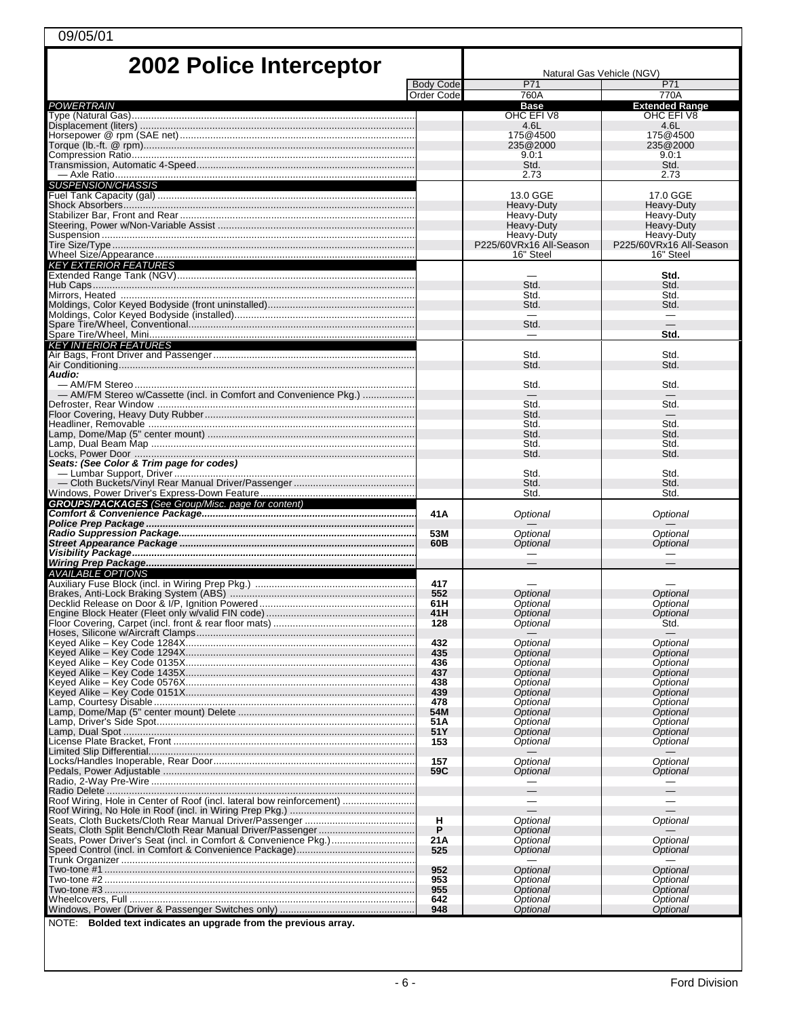| 2002 Police Interceptor                                                       |                                | Natural Gas Vehicle (NGV)            |                                      |  |
|-------------------------------------------------------------------------------|--------------------------------|--------------------------------------|--------------------------------------|--|
|                                                                               | <b>Body Code</b><br>Order Code | P71<br>760A                          | P71<br>770A                          |  |
| POWERTRAIN                                                                    |                                | <b>Base</b><br>OHC EFI V8            | <b>Extended Range</b><br>OHC EFI V8  |  |
|                                                                               |                                | 4.6L                                 | 4.6L                                 |  |
|                                                                               |                                | 175@4500<br>235@2000                 | 175@4500<br>235@2000                 |  |
|                                                                               |                                | 9.0:1<br>Std.                        | 9.0:1<br>Std.                        |  |
|                                                                               |                                | 2.73                                 | 2.73                                 |  |
| <i>SUSPENSION/CHASSIS</i>                                                     |                                | 13.0 GGE                             | 17.0 GGE                             |  |
|                                                                               |                                | Heavy-Duty                           | Heavy-Duty                           |  |
|                                                                               |                                | Heavy-Duty<br>Heavy-Duty             | Heavy-Duty<br>Heavy-Duty             |  |
|                                                                               |                                | Heavy-Duty                           | Heavy-Duty                           |  |
|                                                                               |                                | P225/60VRx16 All-Season<br>16" Steel | P225/60VRx16 All-Season<br>16" Steel |  |
| <b>KEY EXTERIOR FEATURES</b>                                                  |                                |                                      |                                      |  |
|                                                                               |                                | Std.                                 | Std.<br>Std.                         |  |
| Mirrors, Heated ………………………………………………………………………………………                             |                                | Std.                                 | Std.                                 |  |
|                                                                               |                                | Std.                                 | Std.                                 |  |
|                                                                               |                                | Std.                                 |                                      |  |
| <b>KEY INTERIOR FEATURES</b>                                                  |                                |                                      | Std.                                 |  |
| Air Bags, Front Driver and Passenger……………………………………………………………                   |                                | Std.                                 | Std.                                 |  |
| Audio:                                                                        |                                | Std.                                 | Std.                                 |  |
|                                                                               |                                | Std.                                 | Std.                                 |  |
| — AM/FM Stereo w/Cassette (incl. in Comfort and Convenience Pkg.)             |                                | Std.                                 | Std.                                 |  |
|                                                                               |                                | Std.                                 |                                      |  |
|                                                                               |                                | Std.<br>Std.                         | Std.<br>Std.                         |  |
|                                                                               |                                | Std.<br>Std.                         | Std.<br>Std.                         |  |
| Seats: (See Color & Trim page for codes)                                      |                                |                                      |                                      |  |
|                                                                               |                                | Std.<br>Std.                         | Std.<br>Std.                         |  |
|                                                                               |                                | Std.                                 | Std.                                 |  |
| <b>GROUPS/PACKAGES</b> (See Group/Misc. page for content)                     | 41A                            | Optional                             | Optional                             |  |
|                                                                               |                                |                                      |                                      |  |
|                                                                               | 53M<br>60B                     | Optional<br>Optional                 | Optional<br>Optional                 |  |
|                                                                               |                                |                                      |                                      |  |
| <b>AVAILABLE OPTIONS</b>                                                      |                                |                                      |                                      |  |
|                                                                               | 417<br>552                     | <b>Optional</b>                      | Optional                             |  |
|                                                                               | 61H                            | Optional                             | Optional                             |  |
| Engine Block Heater (Fleet only w/valid FIN code)                             | 41H<br>128                     | Optional<br>Optional                 | Optional<br>Std.                     |  |
|                                                                               |                                |                                      |                                      |  |
|                                                                               | 432<br>435                     | Optional<br>Optional                 | Optional<br>Optional                 |  |
|                                                                               | 436                            | Optional                             | Optional                             |  |
|                                                                               | 437<br>438                     | Optional<br>Optional                 | Optional<br>Optional                 |  |
|                                                                               | 439                            | Optional                             | Optional                             |  |
|                                                                               | 478<br>54M                     | Optional<br>Optional                 | Optional<br>Optional                 |  |
|                                                                               | 51A                            | Optional                             | Optional                             |  |
|                                                                               | 51Y<br>153                     | Optional<br>Optional                 | Optional<br>Optional                 |  |
|                                                                               | 157                            | Optional                             | <b>Optional</b>                      |  |
|                                                                               | 59C                            | Optional                             | Optional                             |  |
|                                                                               |                                |                                      |                                      |  |
| Roof Wiring, Hole in Center of Roof (incl. lateral bow reinforcement)         |                                |                                      |                                      |  |
|                                                                               | н                              | Optional                             | Optional                             |  |
| Seats, Cloth Split Bench/Cloth Rear Manual Driver/Passenger                   | P                              | Optional                             |                                      |  |
|                                                                               | 21A<br>525                     | Optional<br>Optional                 | Optional<br>Optional                 |  |
|                                                                               |                                |                                      |                                      |  |
|                                                                               | 952<br>953                     | Optional<br>Optional                 | Optional<br>Optional                 |  |
|                                                                               | 955                            | Optional                             | Optional                             |  |
|                                                                               | 642<br>948                     | Optional<br>Optional                 | Optional<br>Optional                 |  |
| $N$ $\overline{OIF}$ Rolded text indicates an ungrade from the previous array |                                |                                      |                                      |  |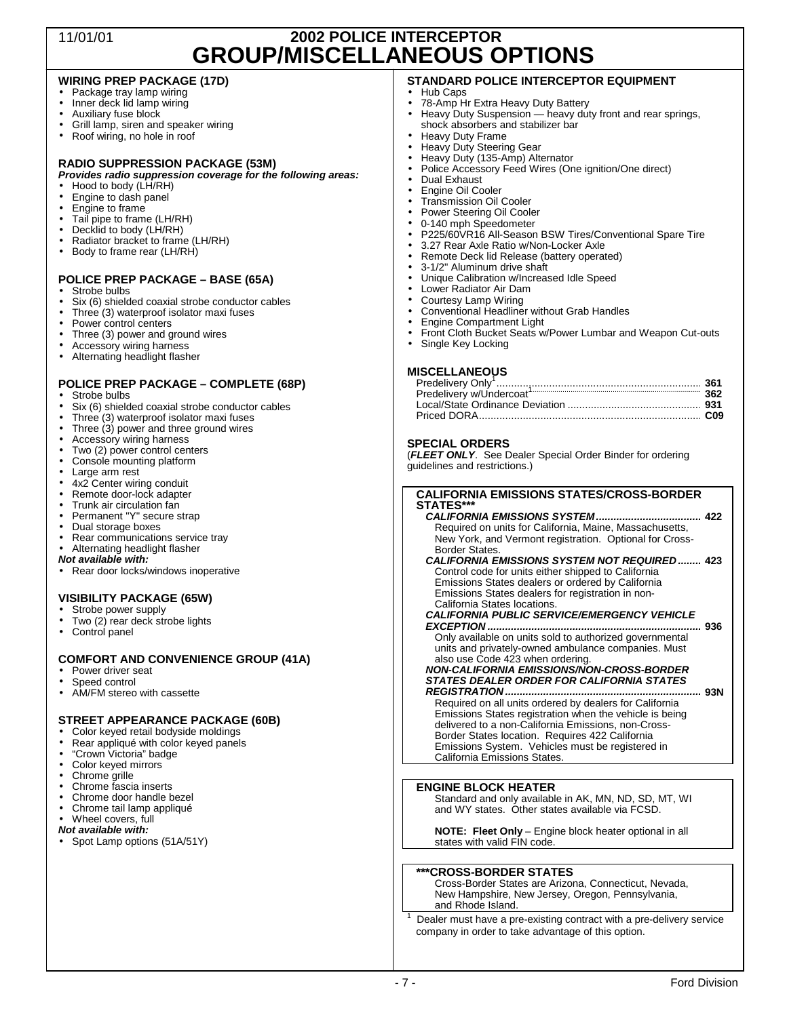# 11/01/01 **2002 POLICE INTERCEPTOR GROUP/MISCELLANEOUS OPTIONS**

### **WIRING PREP PACKAGE (17D)**

- Package tray lamp wiring
- Inner deck lid lamp wiring
- Auxiliary fuse block
- Grill lamp, siren and speaker wiring<br>• Roof wiring, no hole in roof
- Roof wiring, no hole in roof

# **RADIO SUPPRESSION PACKAGE (53M)**

#### *Provides radio suppression coverage for the following areas:*

- Hood to body (LH/RH)<br>• Engine to dash panel
- Engine to dash panel
- Engine to frame
- Tail pipe to frame (LH/RH)<br>• Decklid to body (LH/RH)
- Decklid to body (LH/RH)
- Radiator bracket to frame (LH/RH)<br>• Body to frame rear (LH/RH)
- Body to frame rear (LH/RH)

#### **POLICE PREP PACKAGE – BASE (65A)**

- Strobe bulbs
- Six (6) shielded coaxial strobe conductor cables
- Three (3) waterproof isolator maxi fuses
- Power control centers
- Three (3) power and ground wires
- Accessory wiring harness
- Alternating headlight flasher

#### **POLICE PREP PACKAGE – COMPLETE (68P)**

- Strobe bulbs
- Six (6) shielded coaxial strobe conductor cables
- Three (3) waterproof isolator maxi fuses
- Three (3) power and three ground wires
- Accessory wiring harness<br>• Two (2) power control cen
- Two (2) power control centers
- Console mounting platform
- Large arm rest
- 4x2 Center wiring conduit
- Remote door-lock adapter
- Trunk air circulation fan
- Permanent "Y" secure strap
- Dual storage boxes
- Rear communications service tray
- Alternating headlight flasher
- *Not available with:*
- Rear door locks/windows inoperative

### **VISIBILITY PACKAGE (65W)**

- Strobe power supply Two (2) rear deck strobe lights
- 
- Control panel

#### **COMFORT AND CONVENIENCE GROUP (41A)**

- Power driver seat
- Speed control
- AM/FM stereo with cassette

#### **STREET APPEARANCE PACKAGE (60B)**

- Color keyed retail bodyside moldings
- Rear appliqué with color keyed panels
- "Crown Victoria" badge
- Color keyed mirrors
- Chrome grille
- Chrome fascia inserts
- Chrome door handle bezel
- Chrome tail lamp appliqué
- Wheel covers, full
- *Not available with:*
- Spot Lamp options (51A/51Y)

### **STANDARD POLICE INTERCEPTOR EQUIPMENT**

- Hub Caps
- 78-Amp Hr Extra Heavy Duty Battery
- Heavy Duty Suspension heavy duty front and rear springs, shock absorbers and stabilizer bar
- Heavy Duty Frame
- Heavy Duty Steering Gear
- Heavy Duty (135-Amp) Alternator
- Police Accessory Feed Wires (One ignition/One direct)
- Dual Exhaust
- Engine Oil Cooler
- Transmission Oil Cooler
- Power Steering Oil Cooler
- 0-140 mph Speedometer
- P225/60VR16 All-Season BSW Tires/Conventional Spare Tire
- 3.27 Rear Axle Ratio w/Non-Locker Axle
- Remote Deck lid Release (battery operated)
- 3-1/2" Aluminum drive shaft
- Unique Calibration w/Increased Idle Speed
- Lower Radiator Air Dam
- Courtesy Lamp Wiring
- Conventional Headliner without Grab Handles
- Engine Compartment Light<br>• Front Cloth Bucket Seats w
- Front Cloth Bucket Seats w/Power Lumbar and Weapon Cut-outs
- Single Key Locking

#### **MISCELLANEOUS**

#### **SPECIAL ORDERS**

(*FLEET ONLY*. See Dealer Special Order Binder for ordering guidelines and restrictions.)

#### **CALIFORNIA EMISSIONS STATES/CROSS-BORDER**  STATES\*

*CALIFORNIA EMISSIONS SYSTEM....................................* **422**  Required on units for California, Maine, Massachusetts, New York, and Vermont registration. Optional for Cross-Border States.

*CALIFORNIA EMISSIONS SYSTEM NOT REQUIRED ........* **423**  Control code for units either shipped to California Emissions States dealers or ordered by California Emissions States dealers for registration in non-California States locations.

*CALIFORNIA PUBLIC SERVICE/EMERGENCY VEHICLE* 

*EXCEPTION .........................................................................* **936**  Only available on units sold to authorized governmental units and privately-owned ambulance companies. Must also use Code 423 when ordering.

### *NON-CALIFORNIA EMISSIONS/NON-CROSS-BORDER STATES DEALER ORDER FOR CALIFORNIA STATES*

*REGISTRATION ...................................................................* **93N**  Required on all units ordered by dealers for California Emissions States registration when the vehicle is being delivered to a non-California Emissions, non-Cross-Border States location. Requires 422 California Emissions System. Vehicles must be registered in California Emissions States.

#### **ENGINE BLOCK HEATER**

states with valid FIN code.

**\*\*\*CROSS-BORDER STATES** 

and Rhode Island. 1

end Division and the set of the set of the set of the set of the set of the set of the set of the set of the s

Standard and only available in AK, MN, ND, SD, MT, WI and WY states. Other states available via FCSD.

**NOTE: Fleet Only** – Engine block heater optional in all

Cross-Border States are Arizona, Connecticut, Nevada, New Hampshire, New Jersey, Oregon, Pennsylvania,

company in order to take advantage of this option.

Dealer must have a pre-existing contract with a pre-delivery service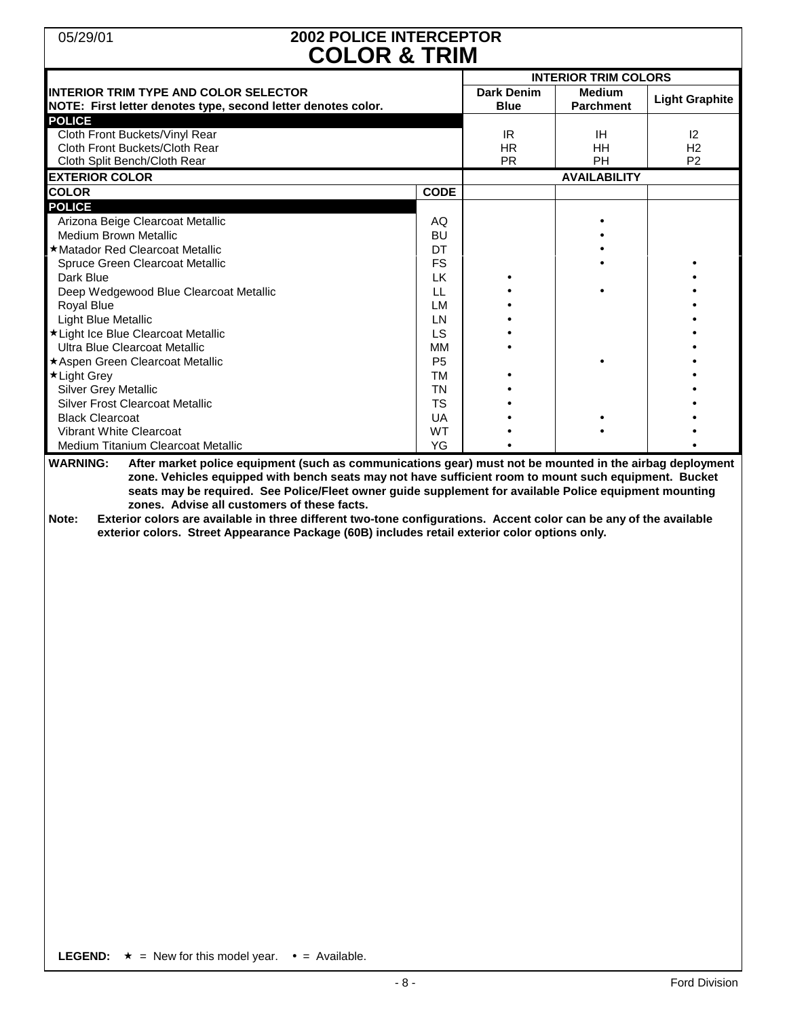# 05/29/01 **2002 POLICE INTERCEPTOR COLOR & TRIM**

| <b>INTERIOR TRIM TYPE AND COLOR SELECTOR</b><br>NOTE: First letter denotes type, second letter denotes color.<br><b>POLICE</b><br>Cloth Front Buckets/Vinyl Rear<br>Cloth Front Buckets/Cloth Rear<br>Cloth Split Bench/Cloth Rear<br><b>EXTERIOR COLOR</b><br><b>COLOR</b><br><b>CODE</b><br><b>POLICE</b><br>Arizona Beige Clearcoat Metallic<br>AQ<br><b>Medium Brown Metallic</b><br><b>BU</b><br>★ Matador Red Clearcoat Metallic<br>DT<br>Spruce Green Clearcoat Metallic<br><b>FS</b><br>Dark Blue<br>LK.<br>Deep Wedgewood Blue Clearcoat Metallic<br>LL.<br><b>Royal Blue</b><br>LM<br><b>Light Blue Metallic</b><br>LN<br>LS<br>*Light Ice Blue Clearcoat Metallic<br>Ultra Blue Clearcoat Metallic<br>MM<br>★ Aspen Green Clearcoat Metallic<br>P <sub>5</sub><br>★ Light Grey<br>TM<br><b>Silver Grey Metallic</b><br><b>TN</b><br><b>Silver Frost Clearcoat Metallic</b><br><b>TS</b><br><b>Black Clearcoat</b><br>UA<br>Vibrant White Clearcoat<br><b>WT</b><br>YG<br>Medium Titanium Clearcoat Metallic<br><b>WARNING:</b><br>After market police equipment (such as communications gear) must not be mounted in the airbag deployment<br>zone. Vehicles equipped with bench seats may not have sufficient room to mount such equipment. Bucket<br>seats may be required. See Police/Fleet owner guide supplement for available Police equipment mounting<br>zones. Advise all customers of these facts.<br>Exterior colors are available in three different two-tone configurations. Accent color can be any of the available<br>Note:<br>exterior colors. Street Appearance Package (60B) includes retail exterior color options only. |                   |                     |                             |  |  |  |
|---------------------------------------------------------------------------------------------------------------------------------------------------------------------------------------------------------------------------------------------------------------------------------------------------------------------------------------------------------------------------------------------------------------------------------------------------------------------------------------------------------------------------------------------------------------------------------------------------------------------------------------------------------------------------------------------------------------------------------------------------------------------------------------------------------------------------------------------------------------------------------------------------------------------------------------------------------------------------------------------------------------------------------------------------------------------------------------------------------------------------------------------------------------------------------------------------------------------------------------------------------------------------------------------------------------------------------------------------------------------------------------------------------------------------------------------------------------------------------------------------------------------------------------------------------------------------------------------------------------------------------------------------------|-------------------|---------------------|-----------------------------|--|--|--|
|                                                                                                                                                                                                                                                                                                                                                                                                                                                                                                                                                                                                                                                                                                                                                                                                                                                                                                                                                                                                                                                                                                                                                                                                                                                                                                                                                                                                                                                                                                                                                                                                                                                         |                   |                     | <b>INTERIOR TRIM COLORS</b> |  |  |  |
|                                                                                                                                                                                                                                                                                                                                                                                                                                                                                                                                                                                                                                                                                                                                                                                                                                                                                                                                                                                                                                                                                                                                                                                                                                                                                                                                                                                                                                                                                                                                                                                                                                                         | <b>Dark Denim</b> | <b>Medium</b>       |                             |  |  |  |
|                                                                                                                                                                                                                                                                                                                                                                                                                                                                                                                                                                                                                                                                                                                                                                                                                                                                                                                                                                                                                                                                                                                                                                                                                                                                                                                                                                                                                                                                                                                                                                                                                                                         | <b>Blue</b>       | <b>Parchment</b>    | <b>Light Graphite</b>       |  |  |  |
|                                                                                                                                                                                                                                                                                                                                                                                                                                                                                                                                                                                                                                                                                                                                                                                                                                                                                                                                                                                                                                                                                                                                                                                                                                                                                                                                                                                                                                                                                                                                                                                                                                                         |                   |                     |                             |  |  |  |
|                                                                                                                                                                                                                                                                                                                                                                                                                                                                                                                                                                                                                                                                                                                                                                                                                                                                                                                                                                                                                                                                                                                                                                                                                                                                                                                                                                                                                                                                                                                                                                                                                                                         | IR.               | IH                  | $ 2\rangle$                 |  |  |  |
|                                                                                                                                                                                                                                                                                                                                                                                                                                                                                                                                                                                                                                                                                                                                                                                                                                                                                                                                                                                                                                                                                                                                                                                                                                                                                                                                                                                                                                                                                                                                                                                                                                                         | <b>HR</b>         | HH                  | H <sub>2</sub>              |  |  |  |
|                                                                                                                                                                                                                                                                                                                                                                                                                                                                                                                                                                                                                                                                                                                                                                                                                                                                                                                                                                                                                                                                                                                                                                                                                                                                                                                                                                                                                                                                                                                                                                                                                                                         | <b>PR</b>         | PH                  | P <sub>2</sub>              |  |  |  |
|                                                                                                                                                                                                                                                                                                                                                                                                                                                                                                                                                                                                                                                                                                                                                                                                                                                                                                                                                                                                                                                                                                                                                                                                                                                                                                                                                                                                                                                                                                                                                                                                                                                         |                   | <b>AVAILABILITY</b> |                             |  |  |  |
|                                                                                                                                                                                                                                                                                                                                                                                                                                                                                                                                                                                                                                                                                                                                                                                                                                                                                                                                                                                                                                                                                                                                                                                                                                                                                                                                                                                                                                                                                                                                                                                                                                                         |                   |                     |                             |  |  |  |
|                                                                                                                                                                                                                                                                                                                                                                                                                                                                                                                                                                                                                                                                                                                                                                                                                                                                                                                                                                                                                                                                                                                                                                                                                                                                                                                                                                                                                                                                                                                                                                                                                                                         |                   |                     |                             |  |  |  |
|                                                                                                                                                                                                                                                                                                                                                                                                                                                                                                                                                                                                                                                                                                                                                                                                                                                                                                                                                                                                                                                                                                                                                                                                                                                                                                                                                                                                                                                                                                                                                                                                                                                         |                   |                     |                             |  |  |  |
|                                                                                                                                                                                                                                                                                                                                                                                                                                                                                                                                                                                                                                                                                                                                                                                                                                                                                                                                                                                                                                                                                                                                                                                                                                                                                                                                                                                                                                                                                                                                                                                                                                                         |                   |                     |                             |  |  |  |
|                                                                                                                                                                                                                                                                                                                                                                                                                                                                                                                                                                                                                                                                                                                                                                                                                                                                                                                                                                                                                                                                                                                                                                                                                                                                                                                                                                                                                                                                                                                                                                                                                                                         |                   |                     |                             |  |  |  |
|                                                                                                                                                                                                                                                                                                                                                                                                                                                                                                                                                                                                                                                                                                                                                                                                                                                                                                                                                                                                                                                                                                                                                                                                                                                                                                                                                                                                                                                                                                                                                                                                                                                         |                   |                     |                             |  |  |  |
|                                                                                                                                                                                                                                                                                                                                                                                                                                                                                                                                                                                                                                                                                                                                                                                                                                                                                                                                                                                                                                                                                                                                                                                                                                                                                                                                                                                                                                                                                                                                                                                                                                                         |                   |                     |                             |  |  |  |
|                                                                                                                                                                                                                                                                                                                                                                                                                                                                                                                                                                                                                                                                                                                                                                                                                                                                                                                                                                                                                                                                                                                                                                                                                                                                                                                                                                                                                                                                                                                                                                                                                                                         |                   |                     |                             |  |  |  |
|                                                                                                                                                                                                                                                                                                                                                                                                                                                                                                                                                                                                                                                                                                                                                                                                                                                                                                                                                                                                                                                                                                                                                                                                                                                                                                                                                                                                                                                                                                                                                                                                                                                         |                   |                     |                             |  |  |  |
|                                                                                                                                                                                                                                                                                                                                                                                                                                                                                                                                                                                                                                                                                                                                                                                                                                                                                                                                                                                                                                                                                                                                                                                                                                                                                                                                                                                                                                                                                                                                                                                                                                                         |                   |                     |                             |  |  |  |
|                                                                                                                                                                                                                                                                                                                                                                                                                                                                                                                                                                                                                                                                                                                                                                                                                                                                                                                                                                                                                                                                                                                                                                                                                                                                                                                                                                                                                                                                                                                                                                                                                                                         |                   |                     |                             |  |  |  |
|                                                                                                                                                                                                                                                                                                                                                                                                                                                                                                                                                                                                                                                                                                                                                                                                                                                                                                                                                                                                                                                                                                                                                                                                                                                                                                                                                                                                                                                                                                                                                                                                                                                         |                   |                     |                             |  |  |  |
|                                                                                                                                                                                                                                                                                                                                                                                                                                                                                                                                                                                                                                                                                                                                                                                                                                                                                                                                                                                                                                                                                                                                                                                                                                                                                                                                                                                                                                                                                                                                                                                                                                                         |                   |                     |                             |  |  |  |
|                                                                                                                                                                                                                                                                                                                                                                                                                                                                                                                                                                                                                                                                                                                                                                                                                                                                                                                                                                                                                                                                                                                                                                                                                                                                                                                                                                                                                                                                                                                                                                                                                                                         |                   |                     |                             |  |  |  |
|                                                                                                                                                                                                                                                                                                                                                                                                                                                                                                                                                                                                                                                                                                                                                                                                                                                                                                                                                                                                                                                                                                                                                                                                                                                                                                                                                                                                                                                                                                                                                                                                                                                         |                   |                     |                             |  |  |  |
|                                                                                                                                                                                                                                                                                                                                                                                                                                                                                                                                                                                                                                                                                                                                                                                                                                                                                                                                                                                                                                                                                                                                                                                                                                                                                                                                                                                                                                                                                                                                                                                                                                                         |                   |                     |                             |  |  |  |
|                                                                                                                                                                                                                                                                                                                                                                                                                                                                                                                                                                                                                                                                                                                                                                                                                                                                                                                                                                                                                                                                                                                                                                                                                                                                                                                                                                                                                                                                                                                                                                                                                                                         |                   |                     |                             |  |  |  |
|                                                                                                                                                                                                                                                                                                                                                                                                                                                                                                                                                                                                                                                                                                                                                                                                                                                                                                                                                                                                                                                                                                                                                                                                                                                                                                                                                                                                                                                                                                                                                                                                                                                         |                   |                     |                             |  |  |  |
|                                                                                                                                                                                                                                                                                                                                                                                                                                                                                                                                                                                                                                                                                                                                                                                                                                                                                                                                                                                                                                                                                                                                                                                                                                                                                                                                                                                                                                                                                                                                                                                                                                                         |                   |                     |                             |  |  |  |
|                                                                                                                                                                                                                                                                                                                                                                                                                                                                                                                                                                                                                                                                                                                                                                                                                                                                                                                                                                                                                                                                                                                                                                                                                                                                                                                                                                                                                                                                                                                                                                                                                                                         |                   |                     |                             |  |  |  |
|                                                                                                                                                                                                                                                                                                                                                                                                                                                                                                                                                                                                                                                                                                                                                                                                                                                                                                                                                                                                                                                                                                                                                                                                                                                                                                                                                                                                                                                                                                                                                                                                                                                         |                   |                     |                             |  |  |  |

**LEGEND:**  $\star$  = New for this model year.  $\bullet$  = Available.